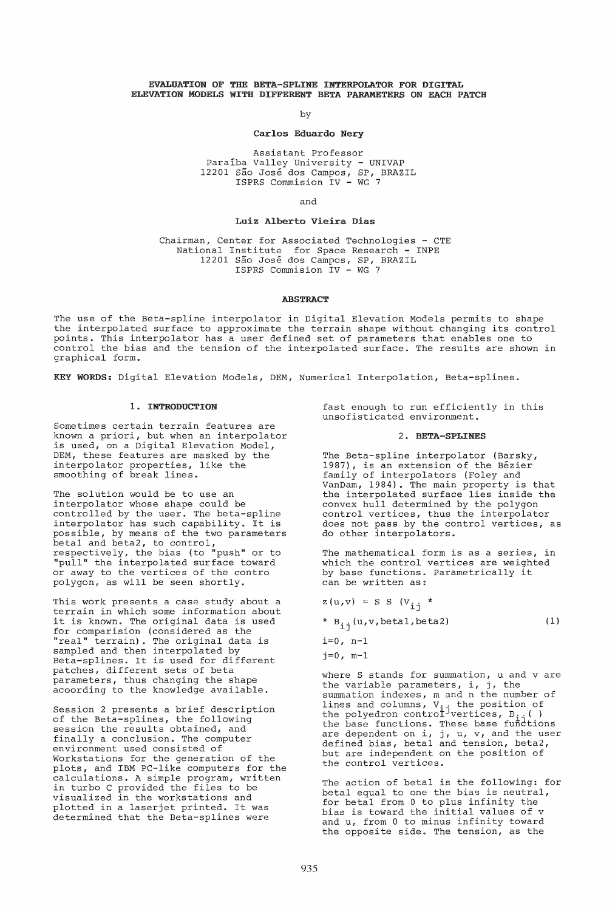### EVALUATION OF THE BETA-SPLINE INTERPOLATOR FOR DIGITAL ELEVATION MODELS WITH DIFFERENT BETA PARAMETERS ON EACH PATCH

by

### Carlos Eduardo Nery

Assistant Professor Paraiba Valley University - UNIVAP 12201 São José dos Campos, SP, BRAZIL ISPRS Commision IV - WG 7

and

## Luiz Alberto Vieira Dias

Chairman, Center for Associated Technologies - CTE National Institute for Space Research - INPE 12201 São José dos Campos, SP, BRAZIL ISPRS Commision IV - WG 7

# ABSTRACT

The use of the Beta-spline interpolator in Digital Elevation Models permits to shape the interpolated surface to approximate the terrain shape without changing its control points. This interpolator has a user defined set of parameters that enables one to control the bias and the tension of the interpolated surface. The results are shown in graphical form.

KEY WORDS: Digital Elevation Models, DEM, Numerical Interpolation, Beta-splines.

### 1. INTRODUCTION

Sometimes certain terrain features are known a priori, but when an interpolator is used, on a Digital Elevation Model, DEM, these features are masked by the interpolator properties, like the smoothing of break lines.

The solution would be to use an interpolator whose shape could be controlled by the user. The beta-spline interpolator has such capability. It is possible, by means of the two parameters betal and beta2, to control, respectively, the bias (to "push" or to "pull" the interpolated surface toward or away to the vertices of the contro polygon, as will be seen shortly.

This work presents a case study about a terrain in which some information about it is known. The original data is used for comparision (considered as the "real" terrain). The original data is sampled and then interpolated by Beta-splines. It is used for different patches, different sets of beta parameters, thus changing the shape acoording to the knowledge available.

Session 2 presents a brief description of the Beta-splines, the following session the results obtained, and finally a conclusion. The computer environment used consisted of Workstations for the generation of the plots, and IBM PC-like computers for the calculations. A simple program, written in turbo C provided the files to be visualized in the workstations and plotted in a laserjet printed. It was determined that the Beta-splines were

fast enough to run efficiently in this unsofisticated environment.

#### 2. BETA-SPLINES

The Beta-spline interpolator (Barsky, 1987), is an extension of the Bezier family of interpolators (Foley and VanDam, 1984). The main property is that the interpolated surface lies inside the convex hull determined by the polygon control vertices, thus the interpolator does not pass by the control vertices, as do other interpolators.

The mathematical form is as a series, in which the control vertices are weighted by base functions. Parametrically it can be written as:

$$
z(u,v) = S S (v_{ij} *
$$

\*  $B_{i,j}(u,v,betal,beta2)$  (1)

 $i=0$ , n-1

 $j=0$ , m-1

where S stands for summation, u and v are where 5 stands for summation, a and<br>the variable parameters, i, j, the summation indexes, m and n the number of lines and columns,  $V_{i,j}$  the position of the polyedron contro $t^j$ vertices,  $B_{i,j}$  () the base functions. These base functions<br>are dependent on i, j, u, v, and the user defined bias, betal and tension, beta2, but are independent on the position of the control vertices.

The action of betal is the following: for betal equal to one the bias is neutral, for betal from 0 to plus infinity the bias is toward the initial values of v and u, from 0 to minus infinity toward the opposite side. The tension, as the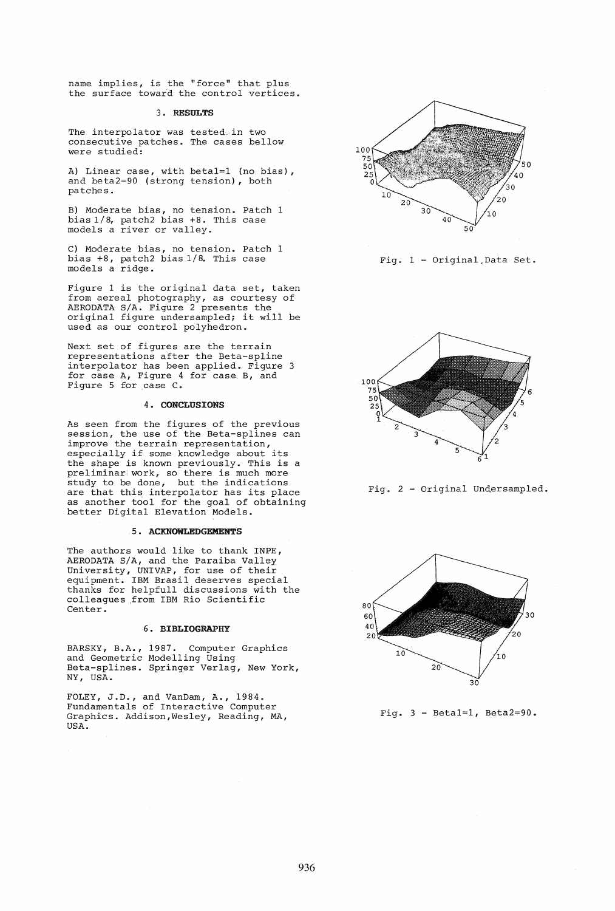name implies, is the "force" that plus the surface toward the control vertices.

## 3. RESULTS

The interpolator was tested. in two consecutive patches. The cases bellow were studied:

A) Linear case, with beta1=1 (no bias), and beta2=90 (strong tension), both patches.

B) Moderate bias, no tension. Patch 1 bias 1/8, patch2 bias +8. This case models a river or valley.

C) Moderate bias, no tension. Patch 1 bias +8, patch2 bias 1/8. This case models a ridge.

Figure 1 is the original data set, taken from aereal photography, as courtesy of AERODATA S/A. Figure 2 presents the original figure undersampled; it will be used as our control polyhedron.

Next set of figures are the terrain representations after the Beta-spline interpolator has been applied. Figure 3 for case A, Figure 4 for case. B, and Figure 5 for case C.

## 4. CONCLUSIONS

As seen from the figures of the previous session, the use of the Beta-splines can improve the terrain representation, especially if some knowledge about its the shape is known previously. This is a preliminar; work, so there is much more study to be done, but the indications study to be done, but the indications<br>are that this interpolator has its place as another tool for the goal of obtaining better Digital Elevation Models.

# 5. ACKNOWLEDGEMENTS

The authors would like to thank INPE, AERODATA S/A, and the Paraiba Valley University, UNIVAP, for use of their equipment. IBM Brasil deserves special thanks for helpfull discussions with the colleagues .from IBM Rio Scientific Center.

### 6. BIBLIOGRAPHY

BARSKY, B.A., 1987. Computer Graphics and Geometric Modelling Using Beta-splines. Springer Verlag, New York, NY, USA.

FOLEY, J.D., and VanDam, A., 1984. Fundamentals of Interactive Computer Graphics. Addison,Wesley, Reading, MA, USA.



Fig. 1 - Original.Data Set.



Fig. 2 - Original Undersampled.



Fig.  $3 - \text{Beta1} = 1$ , Beta2=90.